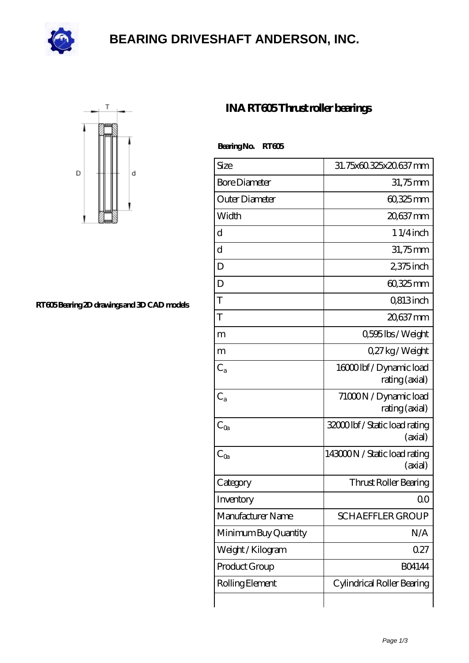

### **[BEARING DRIVESHAFT ANDERSON, INC.](https://deadmanspartythemovie.com)**



#### **[RT605 Bearing 2D drawings and 3D CAD models](https://deadmanspartythemovie.com/pic-509873.html)**

### **[INA RT605 Thrust roller bearings](https://deadmanspartythemovie.com/ina-rt605-bearing/)**

#### **Bearing No. RT605**

| Size                 | 31.75x60.325x20.637mm                     |
|----------------------|-------------------------------------------|
| <b>Bore Diameter</b> | 31,75mm                                   |
| Outer Diameter       | 60,325mm                                  |
| Width                | 20,637 mm                                 |
| d                    | $11/4$ inch                               |
| $\rm d$              | $31,75$ mm                                |
| D                    | $2375$ inch                               |
| D                    | 60,325mm                                  |
| T                    | Q813inch                                  |
| T                    | 20,637 mm                                 |
| m                    | 0,595 lbs / Weight                        |
| m                    | 027kg/Weight                              |
| $C_{a}$              | 16000lbf/Dynamic load<br>rating (axial)   |
| $C_{a}$              | 71000N / Dynamic load<br>rating (axial)   |
| $C_{\text{Oa}}$      | 32000 lbf / Static load rating<br>(axial) |
| $C_{\text{Oa}}$      | 143000N / Static load rating<br>(axial)   |
| Category             | Thrust Roller Bearing                     |
| Inventory            | 0 <sub>0</sub>                            |
| Manufacturer Name    | <b>SCHAEFFLER GROUP</b>                   |
| Minimum Buy Quantity | N/A                                       |
| Weight / Kilogram    | 0.27                                      |
| Product Group        | <b>BO4144</b>                             |
| Rolling Element      | Cylindrical Roller Bearing                |
|                      |                                           |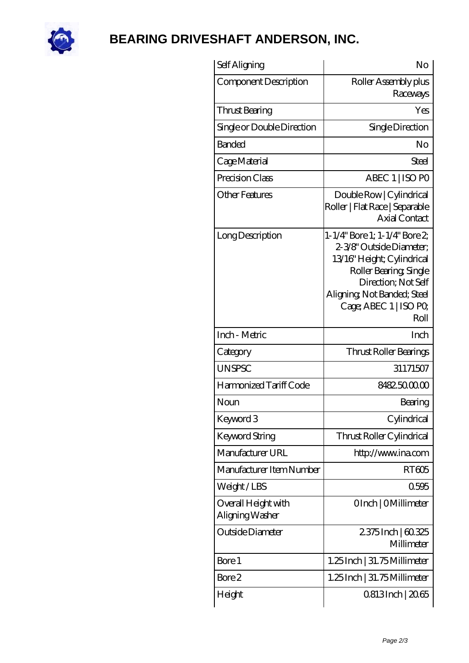

# **[BEARING DRIVESHAFT ANDERSON, INC.](https://deadmanspartythemovie.com)**

| Self Aligning                          | No                                                                                                                                                                                                      |
|----------------------------------------|---------------------------------------------------------------------------------------------------------------------------------------------------------------------------------------------------------|
| Component Description                  | Roller Assembly plus<br>Raceways                                                                                                                                                                        |
| Thrust Bearing                         | Yes                                                                                                                                                                                                     |
| Single or Double Direction             | Single Direction                                                                                                                                                                                        |
| <b>Banded</b>                          | No                                                                                                                                                                                                      |
| Cage Material                          | Steel                                                                                                                                                                                                   |
| Precision Class                        | ABEC 1   ISO PO                                                                                                                                                                                         |
| Other Features                         | Double Row   Cylindrical<br>Roller   Flat Race   Separable<br><b>Axial Contact</b>                                                                                                                      |
| Long Description                       | 1-1/4" Bore 1; 1-1/4" Bore 2;<br>2-3/8" Outside Diameter;<br>13/16" Height; Cylindrical<br>Roller Bearing, Single<br>Direction; Not Self<br>Aligning Not Banded; Steel<br>Cage; ABEC 1   ISO PO<br>Roll |
| Inch - Metric                          | Inch                                                                                                                                                                                                    |
| Category                               | Thrust Roller Bearings                                                                                                                                                                                  |
| <b>UNSPSC</b>                          | 31171507                                                                                                                                                                                                |
| Harmonized Tariff Code                 | 8482500000                                                                                                                                                                                              |
| Noun                                   | Bearing                                                                                                                                                                                                 |
| Keyword 3                              | Cylindrical                                                                                                                                                                                             |
| <b>Keyword String</b>                  | Thrust Roller Cylindrical                                                                                                                                                                               |
| Manufacturer URL                       | http://www.ina.com                                                                                                                                                                                      |
| Manufacturer Item Number               | RT605                                                                                                                                                                                                   |
| Weight/LBS                             | 0595                                                                                                                                                                                                    |
| Overall Height with<br>Aligning Washer | OInch   OMillimeter                                                                                                                                                                                     |
| Outside Diameter                       | 2375Inch   60.325<br>Millimeter                                                                                                                                                                         |
| Bore 1                                 | 1.25 Inch   31.75 Millimeter                                                                                                                                                                            |
| Bore 2                                 | 1.25 Inch   31.75 Millimeter                                                                                                                                                                            |
| Height                                 | 0.813 Inch   20.65                                                                                                                                                                                      |